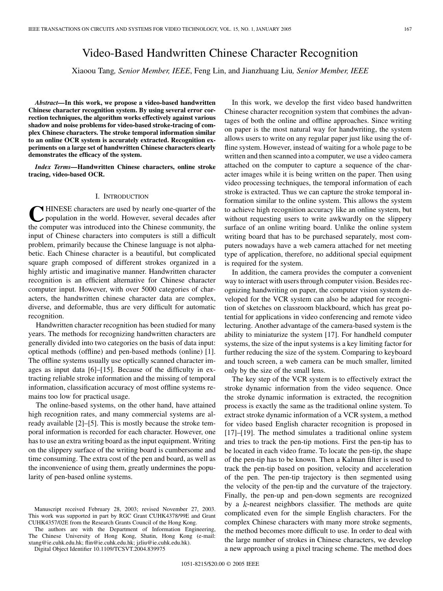# Video-Based Handwritten Chinese Character Recognition

Xiaoou Tang*, Senior Member, IEEE*, Feng Lin, and Jianzhuang Liu*, Senior Member, IEEE*

*Abstract—***In this work, we propose a video-based handwritten Chinese character recognition system. By using several error correction techniques, the algorithm works effectively against various shadow and noise problems for video-based stroke-tracing of complex Chinese characters. The stroke temporal information similar to an online OCR system is accurately extracted. Recognition experiments on a large set of handwritten Chinese characters clearly demonstrates the efficacy of the system.**

*Index Terms—***Handwritten Chinese characters, online stroke tracing, video-based OCR.**

#### I. INTRODUCTION

**C**HINESE characters are used by nearly one-quarter of the population in the world. However, several decades after the computer was introduced into the Chinese community, the input of Chinese characters into computers is still a difficult problem, primarily because the Chinese language is not alphabetic. Each Chinese character is a beautiful, but complicated square graph composed of different strokes organized in a highly artistic and imaginative manner. Handwritten character recognition is an efficient alternative for Chinese character computer input. However, with over 5000 categories of characters, the handwritten chinese character data are complex, diverse, and deformable, thus are very difficult for automatic recognition.

Handwritten character recognition has been studied for many years. The methods for recognizing handwritten characters are generally divided into two categories on the basis of data input: optical methods (offline) and pen-based methods (online) [\[1](#page-7-0)]. The offline systems usually use optically scanned character images as input data [\[6](#page-7-0)]–[[15\]](#page-7-0). Because of the difficulty in extracting reliable stroke information and the missing of temporal information, classification accuracy of most offline systems remains too low for practical usage.

The online-based systems, on the other hand, have attained high recognition rates, and many commercial systems are already available [[2\]](#page-7-0)–[\[5](#page-7-0)]. This is mostly because the stroke temporal information is recorded for each character. However, one has to use an extra writing board as the input equipment. Writing on the slippery surface of the writing board is cumbersome and time consuming. The extra cost of the pen and board, as well as the inconvenience of using them, greatly undermines the popularity of pen-based online systems.

The authors are with the Department of Information Engineering, The Chinese University of Hong Kong, Shatin, Hong Kong (e-mail: xtang@ie.cuhk.edu.hk; flin@ie.cuhk.edu.hk; jzliu@ie.cuhk.edu.hk).

Digital Object Identifier 10.1109/TCSVT.2004.839975

In this work, we develop the first video based handwritten Chinese character recognition system that combines the advantages of both the online and offline approaches. Since writing on paper is the most natural way for handwriting, the system allows users to write on any regular paper just like using the offline system. However, instead of waiting for a whole page to be written and then scanned into a computer, we use a video camera attached on the computer to capture a sequence of the character images while it is being written on the paper. Then using video processing techniques, the temporal information of each stroke is extracted. Thus we can capture the stroke temporal information similar to the online system. This allows the system to achieve high recognition accuracy like an online system, but without requesting users to write awkwardly on the slippery surface of an online writing board. Unlike the online system writing board that has to be purchased separately, most computers nowadays have a web camera attached for net meeting type of application, therefore, no additional special equipment is required for the system.

In addition, the camera provides the computer a convenient way to interact with users through computer vision. Besides recognizing handwriting on paper, the computer vision system developed for the VCR system can also be adapted for recognition of sketches on classroom blackboard, which has great potential for applications in video conferencing and remote video lecturing. Another advantage of the camera-based system is the ability to miniaturize the system [[17\]](#page-7-0). For handheld computer systems, the size of the input systems is a key limiting factor for further reducing the size of the system. Comparing to keyboard and touch screen, a web camera can be much smaller, limited only by the size of the small lens.

The key step of the VCR system is to effectively extract the stroke dynamic information from the video sequence. Once the stroke dynamic information is extracted, the recognition process is exactly the same as the traditional online system. To extract stroke dynamic information of a VCR system, a method for video based English character recognition is proposed in [\[17](#page-7-0)]–[\[19\]](#page-7-0). The method simulates a traditional online system and tries to track the pen-tip motions. First the pen-tip has to be located in each video frame. To locate the pen-tip, the shape of the pen-tip has to be known. Then a Kalman filter is used to track the pen-tip based on position, velocity and acceleration of the pen. The pen-tip trajectory is then segmented using the velocity of the pen-tip and the curvature of the trajectory. Finally, the pen-up and pen-down segments are recognized by a  $k$ -nearest neighbors classifier. The methods are quite complicated even for the simple English characters. For the complex Chinese characters with many more stroke segments, the method becomes more difficult to use. In order to deal with the large number of strokes in Chinese characters, we develop a new approach using a pixel tracing scheme. The method does

Manuscript received February 28, 2003; revised November 27, 2003. This work was supported in part by RGC Grant CUHK4378/99E and Grant CUHK4357/02E from the Research Grants Council of the Hong Kong.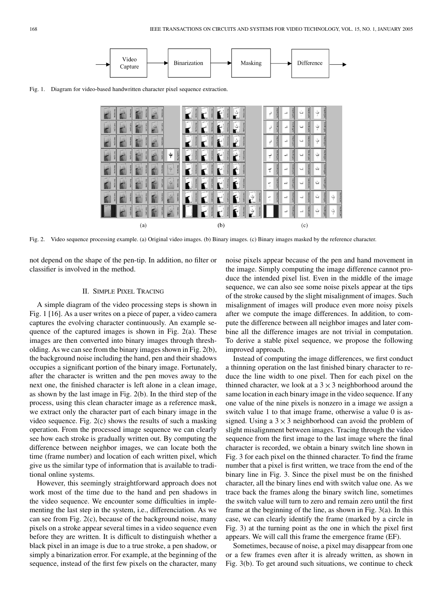

Fig. 1. Diagram for video-based handwritten character pixel sequence extraction.



Fig. 2. Video sequence processing example. (a) Original video images. (b) Binary images. (c) Binary images masked by the reference character.

not depend on the shape of the pen-tip. In addition, no filter or classifier is involved in the method.

## II. SIMPLE PIXEL TRACING

A simple diagram of the video processing steps is shown in Fig. 1 [\[16](#page-7-0)]. As a user writes on a piece of paper, a video camera captures the evolving character continuously. An example sequence of the captured images is shown in Fig. 2(a). These images are then converted into binary images through thresholding. As we can see from the binary images shown in Fig. 2(b), the background noise including the hand, pen and their shadows occupies a significant portion of the binary image. Fortunately, after the character is written and the pen moves away to the next one, the finished character is left alone in a clean image, as shown by the last image in Fig. 2(b). In the third step of the process, using this clean character image as a reference mask, we extract only the character part of each binary image in the video sequence. Fig. 2(c) shows the results of such a masking operation. From the processed image sequence we can clearly see how each stroke is gradually written out. By computing the difference between neighbor images, we can locate both the time (frame number) and location of each written pixel, which give us the similar type of information that is available to traditional online systems.

However, this seemingly straightforward approach does not work most of the time due to the hand and pen shadows in the video sequence. We encounter some difficulties in implementing the last step in the system, i.e., differenciation. As we can see from Fig. 2(c), because of the background noise, many pixels on a stroke appear several times in a video sequence even before they are written. It is difficult to distinguish whether a black pixel in an image is due to a true stroke, a pen shadow, or simply a binarization error. For example, at the beginning of the sequence, instead of the first few pixels on the character, many noise pixels appear because of the pen and hand movement in the image. Simply computing the image difference cannot produce the intended pixel list. Even in the middle of the image sequence, we can also see some noise pixels appear at the tips of the stroke caused by the slight misalignment of images. Such misalignment of images will produce even more noisy pixels after we compute the image differences. In addition, to compute the difference between all neighbor images and later combine all the difference images are not trivial in computation. To derive a stable pixel sequence, we propose the following improved approach.

Instead of computing the image differences, we first conduct a thinning operation on the last finished binary character to reduce the line width to one pixel. Then for each pixel on the thinned character, we look at a  $3 \times 3$  neighborhood around the same location in each binary image in the video sequence. If any one value of the nine pixels is nonzero in a image we assign a switch value 1 to that image frame, otherwise a value 0 is assigned. Using a  $3 \times 3$  neighborhood can avoid the problem of slight misalignment between images. Tracing through the video sequence from the first image to the last image where the final character is recorded, we obtain a binary switch line shown in Fig. 3 for each pixel on the thinned character. To find the frame number that a pixel is first written, we trace from the end of the binary line in Fig. 3. Since the pixel must be on the finished character, all the binary lines end with switch value one. As we trace back the frames along the binary switch line, sometimes the switch value will turn to zero and remain zero until the first frame at the beginning of the line, as shown in Fig. 3(a). In this case, we can clearly identify the frame (marked by a circle in Fig. 3) at the turning point as the one in which the pixel first appears. We will call this frame the emergence frame (EF).

Sometimes, because of noise, a pixel may disappear from one or a few frames even after it is already written, as shown in Fig. 3(b). To get around such situations, we continue to check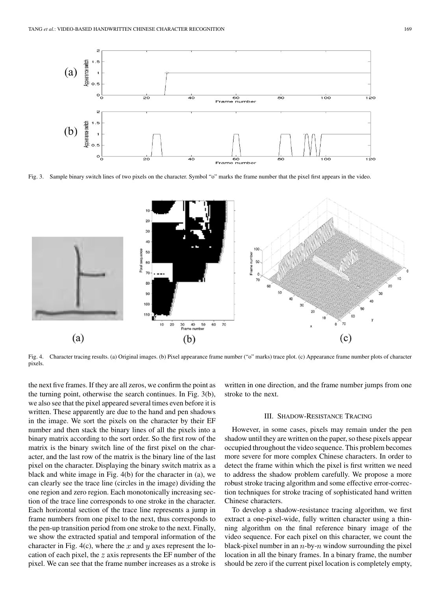

Fig. 3. Sample binary switch lines of two pixels on the character. Symbol "o" marks the frame number that the pixel first appears in the video.



Fig. 4. Character tracing results. (a) Original images. (b) Pixel appearance frame number ("o" marks) trace plot. (c) Appearance frame number plots of character pixels.

the next five frames. If they are all zeros, we confirm the point as the turning point, otherwise the search continues. In Fig. 3(b), we also see that the pixel appeared several times even before it is written. These apparently are due to the hand and pen shadows in the image. We sort the pixels on the character by their EF number and then stack the binary lines of all the pixels into a binary matrix according to the sort order. So the first row of the matrix is the binary switch line of the first pixel on the character, and the last row of the matrix is the binary line of the last pixel on the character. Displaying the binary switch matrix as a black and white image in Fig. 4(b) for the character in (a), we can clearly see the trace line (circles in the image) dividing the one region and zero region. Each monotonically increasing section of the trace line corresponds to one stroke in the character. Each horizontal section of the trace line represents a jump in frame numbers from one pixel to the next, thus corresponds to the pen-up transition period from one stroke to the next. Finally, we show the extracted spatial and temporal information of the character in Fig. 4(c), where the  $x$  and  $y$  axes represent the location of each pixel, the  $z$  axis represents the EF number of the pixel. We can see that the frame number increases as a stroke is

written in one direction, and the frame number jumps from one stroke to the next.

## III. SHADOW-RESISTANCE TRACING

However, in some cases, pixels may remain under the pen shadow until they are written on the paper, so these pixels appear occupied throughout the video sequence. This problem becomes more severe for more complex Chinese characters. In order to detect the frame within which the pixel is first written we need to address the shadow problem carefully. We propose a more robust stroke tracing algorithm and some effective error-correction techniques for stroke tracing of sophisticated hand written Chinese characters.

To develop a shadow-resistance tracing algorithm, we first extract a one-pixel-wide, fully written character using a thinning algorithm on the final reference binary image of the video sequence. For each pixel on this character, we count the black-pixel number in an  $n$ -by- $n$  window surrounding the pixel location in all the binary frames. In a binary frame, the number should be zero if the current pixel location is completely empty,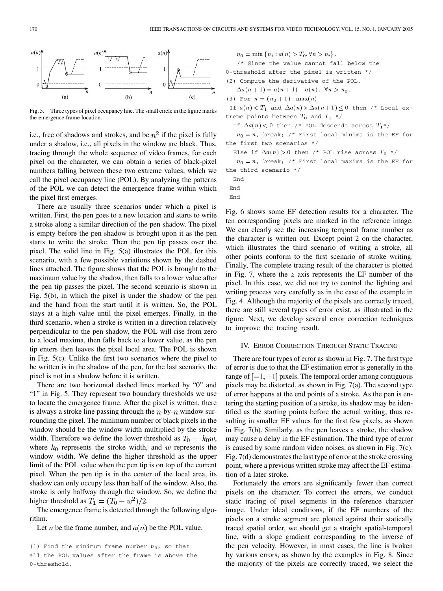

Fig. 5. Three types of pixel occupancy line. The small circle in the figure marks the emergence frame location.

i.e., free of shadows and strokes, and be  $n^2$  if the pixel is fully under a shadow, i.e., all pixels in the window are black. Thus, tracing through the whole sequence of video frames, for each pixel on the character, we can obtain a series of black-pixel numbers falling between these two extreme values, which we call the pixel occupancy line (POL). By analyzing the patterns of the POL we can detect the emergence frame within which the pixel first emerges.

There are usually three scenarios under which a pixel is written. First, the pen goes to a new location and starts to write a stroke along a similar direction of the pen shadow. The pixel is empty before the pen shadow is brought upon it as the pen starts to write the stroke. Then the pen tip passes over the pixel. The solid line in Fig. 5(a) illustrates the POL for this scenario, with a few possible variations shown by the dashed lines attached. The figure shows that the POL is brought to the maximum value by the shadow, then falls to a lower value after the pen tip passes the pixel. The second scenario is shown in Fig. 5(b), in which the pixel is under the shadow of the pen and the hand from the start until it is written. So, the POL stays at a high value until the pixel emerges. Finally, in the third scenario, when a stroke is written in a direction relatively perpendicular to the pen shadow, the POL will rise from zero to a local maxima, then falls back to a lower value, as the pen tip enters then leaves the pixel local area. The POL is shown in Fig. 5(c). Unlike the first two scenarios where the pixel to be written is in the shadow of the pen, for the last scenario, the pixel is not in a shadow before it is written.

There are two horizontal dashed lines marked by "0" and "1" in Fig. 5. They represent two boundary thresholds we use to locate the emergence frame. After the pixel is written, there is always a stroke line passing through the  $n$ -by- $n$  window surrounding the pixel. The minimum number of black pixels in the window should be the window width multiplied by the stroke width. Therefore we define the lower threshold as  $T_0 = k_0 w$ , where  $k_0$  represents the stroke width, and w represents the window width. We define the higher threshold as the upper limit of the POL value when the pen tip is on top of the current pixel. When the pen tip is in the center of the local area, its shadow can only occupy less than half of the window. Also, the stroke is only halfway through the window. So, we define the higher threshold as  $T_1 = (T_0 + w^2)/2$ .

The emergence frame is detected through the following algorithm.

Let *n* be the frame number, and  $a(n)$  be the POL value.

 $n_0 = \min \{n_i : a(n) > T_0, \forall n > n_i\}.$ 

/\* Since the value cannot fall below the 0-threshold after the pixel is written \*/

(2) Compute the derivative of the POL,

 $\Delta a(n + 1) = a(n + 1) - a(n), \forall n > n_0.$ 

(3) For  $n = (n_0 + 1) : max(n)$ 

If  $a(n) < T_1$  and  $\Delta a(n) \times \Delta a(n+1) \leq 0$  then /\* Local extreme points between  $T_0$  and  $T_1$  \*/

If  $\Delta a(n) < 0$  then /\* POL descends across  $T_1$ \*/

 $n_0 = n$ , break; /\* First local minima is the EF for the first two scenarios \*/

Else if  $\Delta a(n) > 0$  then /\* POL rise across  $T_0$  \*/

 $n_0 = n$ , break; /\* First local maxima is the EF for the third scenario \*/

End End

End

Fig. 6 shows some EF detection results for a character. The ten corresponding pixels are marked in the reference image. We can clearly see the increasing temporal frame number as the character is written out. Except point 2 on the character, which illustrates the third scenario of writing a stroke, all other points conform to the first scenario of stroke writing. Finally, The complete tracing result of the character is plotted in Fig. 7, where the  $z$  axis represents the EF number of the pixel. In this case, we did not try to control the lighting and writing process very carefully as in the case of the example in Fig. 4. Although the majority of the pixels are correctly traced, there are still several types of error exist, as illustrated in the figure. Next, we develop several error correction techniques to improve the tracing result.

## IV. ERROR CORRECTION THROUGH STATIC TRACING

There are four types of error as shown in Fig. 7. The first type of error is due to that the EF estimation error is generally in the range of  $[-1, +1]$  pixels. The temporal order among contiguous pixels may be distorted, as shown in Fig. 7(a). The second type of error happens at the end points of a stroke. As the pen is entering the starting position of a stroke, its shadow may be identified as the starting points before the actual writing, thus resulting in smaller EF values for the first few pixels, as shown in Fig. 7(b). Similarly, as the pen leaves a stroke, the shadow may cause a delay in the EF estimation. The third type of error is caused by some random video noises, as shown in Fig. 7(c). Fig. 7(d) demonstrates the last type of error at the stroke crossing point, where a previous written stroke may affect the EF estimation of a later stroke.

Fortunately the errors are significantly fewer than correct pixels on the character. To correct the errors, we conduct static tracing of pixel segments in the reference character image. Under ideal conditions, if the EF numbers of the pixels on a stroke segment are plotted against their statically traced spatial order, we should get a straight spatial-temporal line, with a slope gradient corresponding to the inverse of the pen velocity. However, in most cases, the line is broken by various errors, as shown by the examples in Fig. 8. Since the majority of the pixels are correctly traced, we select the

<sup>(1)</sup> Find the minimum frame number  $n_0$ , so that

all the POL values after the frame is above the 0-threshold,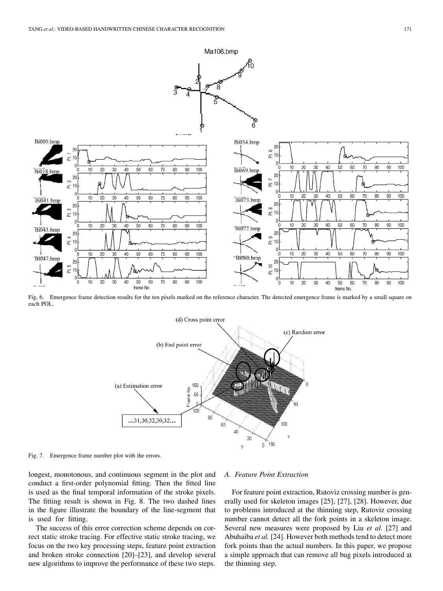

Fig. 6. Emergence frame detection results for the ten pixels marked on the reference character. The detected emergence frame is marked by a small square on each POL.



Fig. 7. Emergence frame number plot with the errors.

longest, monotonous, and continuous segment in the plot and conduct a first-order polynomial fitting. Then the fitted line is used as the final temporal information of the stroke pixels. The fitting result is shown in Fig. 8. The two dashed lines in the figure illustrate the boundary of the line-segment that is used for fitting.

The success of this error correction scheme depends on correct static stroke tracing. For effective static stroke tracing, we focus on the two key processing steps, feature point extraction and broken stroke connection [[20\]](#page-7-0)–[\[23](#page-7-0)], and develop several new algorithms to improve the performance of these two steps.

### *A. Feature Point Extraction*

For feature point extraction, Rutoviz crossing number is generally used for skeleton images [[25\]](#page-7-0), [[27\]](#page-7-0), [[28\]](#page-7-0). However, due to problems introduced at the thinning step, Rutoviz crossing number cannot detect all the fork points in a skeleton image. Several new measures were proposed by Liu *et al.* [[27](#page-7-0)] and Abuhaiba *et al.* [\[24](#page-7-0)]. However both methods tend to detect more fork points than the actual numbers. In this paper, we propose a simple approach that can remove all bug pixels introduced at the thinning step.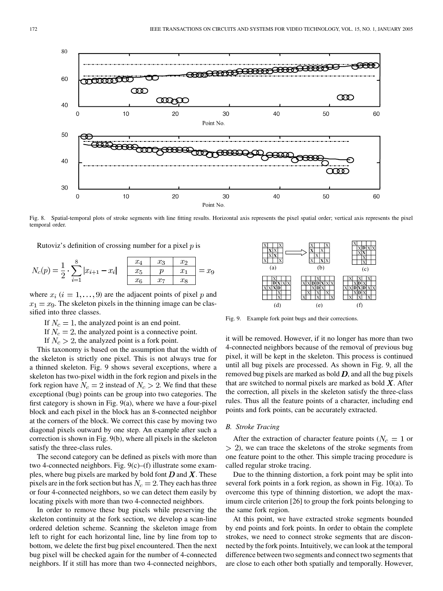

Fig. 8. Spatial-temporal plots of stroke segments with line fitting results. Horizontal axis represents the pixel spatial order; vertical axis represents the pixel temporal order.

Rutoviz's definition of crossing number for a pixel  $p$  is

$$
N_c(p) = \frac{1}{2} \cdot \sum_{i=1}^{8} |x_{i+1} - x_i| \quad \frac{x_4}{x_5} \quad \frac{x_3}{p} \quad \frac{x_2}{x_1} = x_9
$$

where  $x_i$   $(i = 1, \ldots, 9)$  are the adjacent points of pixel p and  $x_1 = x_9$ . The skeleton pixels in the thinning image can be classified into three classes.

- If  $N_c = 1$ , the analyzed point is an end point.
- If  $N_c = 2$ , the analyzed point is a connective point.
- If  $N_c > 2$ , the analyzed point is a fork point.

This taxonomy is based on the assumption that the width of the skeleton is strictly one pixel. This is not always true for a thinned skeleton. Fig. 9 shows several exceptions, where a skeleton has two-pixel width in the fork region and pixels in the fork region have  $N_c = 2$  instead of  $N_c > 2$ . We find that these exceptional (bug) points can be group into two categories. The first category is shown in Fig. 9(a), where we have a four-pixel block and each pixel in the block has an 8-connected neighbor at the corners of the block. We correct this case by moving two diagonal pixels outward by one step. An example after such a correction is shown in Fig. 9(b), where all pixels in the skeleton satisfy the three-class rules.

The second category can be defined as pixels with more than two 4-connected neighbors. Fig. 9(c)–(f) illustrate some examples, where bug pixels are marked by bold font  $D$  and  $X$ . These pixels are in the fork section but has  $N_c = 2$ . They each has three or four 4-connected neighbors, so we can detect them easily by locating pixels with more than two 4-connected neighbors.

In order to remove these bug pixels while preserving the skeleton continuity at the fork section, we develop a scan-line ordered deletion scheme. Scanning the skeleton image from left to right for each horizontal line, line by line from top to bottom, we delete the first bug pixel encountered. Then the next bug pixel will be checked again for the number of 4-connected neighbors. If it still has more than two 4-connected neighbors,



Fig. 9. Example fork point bugs and their corrections.

it will be removed. However, if it no longer has more than two 4-connected neighbors because of the removal of previous bug pixel, it will be kept in the skeleton. This process is continued until all bug pixels are processed. As shown in Fig. 9, all the removed bug pixels are marked as bold  $D$ , and all the bug pixels that are switched to normal pixels are marked as bold  $X$ . After the correction, all pixels in the skeleton satisfy the three-class rules. Thus all the feature points of a character, including end points and fork points, can be accurately extracted.

## *B. Stroke Tracing*

After the extraction of character feature points ( $N_c = 1$  or  $>$  2), we can trace the skeletons of the stroke segments from one feature point to the other. This simple tracing procedure is called regular stroke tracing.

Due to the thinning distortion, a fork point may be split into several fork points in a fork region, as shown in Fig. 10(a). To overcome this type of thinning distortion, we adopt the maximum circle criterion [\[26](#page-7-0)] to group the fork points belonging to the same fork region.

At this point, we have extracted stroke segments bounded by end points and fork points. In order to obtain the complete strokes, we need to connect stroke segments that are disconnected by the fork points. Intuitively, we can look at the temporal difference between two segments and connect two segments that are close to each other both spatially and temporally. However,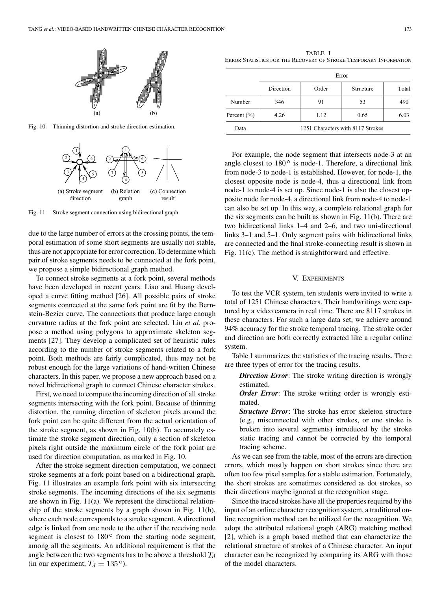

Fig. 10. Thinning distortion and stroke direction estimation.



Fig. 11. Stroke segment connection using bidirectional graph.

due to the large number of errors at the crossing points, the temporal estimation of some short segments are usually not stable, thus are not appropriate for error correction. To determine which pair of stroke segments needs to be connected at the fork point, we propose a simple bidirectional graph method.

To connect stroke segments at a fork point, several methods have been developed in recent years. Liao and Huang developed a curve fitting method [\[26](#page-7-0)]. All possible pairs of stroke segments connected at the same fork point are fit by the Bernstein-Bezier curve. The connections that produce large enough curvature radius at the fork point are selected. Liu *et al.* propose a method using polygons to approximate skeleton segments [[27\]](#page-7-0). They develop a complicated set of heuristic rules according to the number of stroke segments related to a fork point. Both methods are fairly complicated, thus may not be robust enough for the large variations of hand-written Chinese characters. In this paper, we propose a new approach based on a novel bidirectional graph to connect Chinese character strokes.

First, we need to compute the incoming direction of all stroke segments intersecting with the fork point. Because of thinning distortion, the running direction of skeleton pixels around the fork point can be quite different from the actual orientation of the stroke segment, as shown in Fig. 10(b). To accurately estimate the stroke segment direction, only a section of skeleton pixels right outside the maximum circle of the fork point are used for direction computation, as marked in Fig. 10.

After the stroke segment direction computation, we connect stroke segments at a fork point based on a bidirectional graph. Fig. 11 illustrates an example fork point with six intersecting stroke segments. The incoming directions of the six segments are shown in Fig. 11(a). We represent the directional relationship of the stroke segments by a graph shown in Fig. 11(b), where each node corresponds to a stroke segment. A directional edge is linked from one node to the other if the receiving node segment is closest to  $180^{\circ}$  from the starting node segment, among all the segments. An additional requirement is that the angle between the two segments has to be above a threshold  $T_d$ (in our experiment,  $T_d = 135^{\circ}$ ).

TABLE I ERROR STATISTICS FOR THE RECOVERY OF STROKE TEMPORARY INFORMATION

|                 | Error                             |       |           |       |  |  |  |
|-----------------|-----------------------------------|-------|-----------|-------|--|--|--|
|                 | Direction                         | Order | Structure | Total |  |  |  |
| Number          | 346                               | 91    | 53        | 490   |  |  |  |
| Percent $(\% )$ | 4.26                              | 1.12  | 0.65      | 6.03  |  |  |  |
| Data            | 1251 Characters with 8117 Strokes |       |           |       |  |  |  |

For example, the node segment that intersects node-3 at an angle closest to  $180^\circ$  is node-1. Therefore, a directional link from node-3 to node-1 is established. However, for node-1, the closest opposite node is node-4, thus a directional link from node-1 to node-4 is set up. Since node-1 is also the closest opposite node for node-4, a directional link from node-4 to node-1 can also be set up. In this way, a complete relational graph for the six segments can be built as shown in Fig. 11(b). There are two bidirectional links 1–4 and 2–6, and two uni-directional links 3–1 and 5–1. Only segment pairs with bidirectional links are connected and the final stroke-connecting result is shown in Fig. 11(c). The method is straightforward and effective.

## V. EXPERIMENTS

To test the VCR system, ten students were invited to write a total of 1251 Chinese characters. Their handwritings were captured by a video camera in real time. There are 8117 strokes in these characters. For such a large data set, we achieve around 94% accuracy for the stroke temporal tracing. The stroke order and direction are both correctly extracted like a regular online system.

Table I summarizes the statistics of the tracing results. There are three types of error for the tracing results.

*Direction Error*: The stroke writing direction is wrongly estimated.

*Order Error*: The stroke writing order is wrongly estimated.

*Structure Error*: The stroke has error skeleton structure (e.g., misconnected with other strokes, or one stroke is broken into several segments) introduced by the stroke static tracing and cannot be corrected by the temporal tracing scheme.

As we can see from the table, most of the errors are direction errors, which mostly happen on short strokes since there are often too few pixel samples for a stable estimation. Fortunately, the short strokes are sometimes considered as dot strokes, so their directions maybe ignored at the recognition stage.

Since the traced strokes have all the properties required by the input of an online character recognition system, a traditional online recognition method can be utilized for the recognition. We adopt the attributed relational graph (ARG) matching method [\[2](#page-7-0)], which is a graph based method that can characterize the relational structure of strokes of a Chinese character. An input character can be recognized by comparing its ARG with those of the model characters.